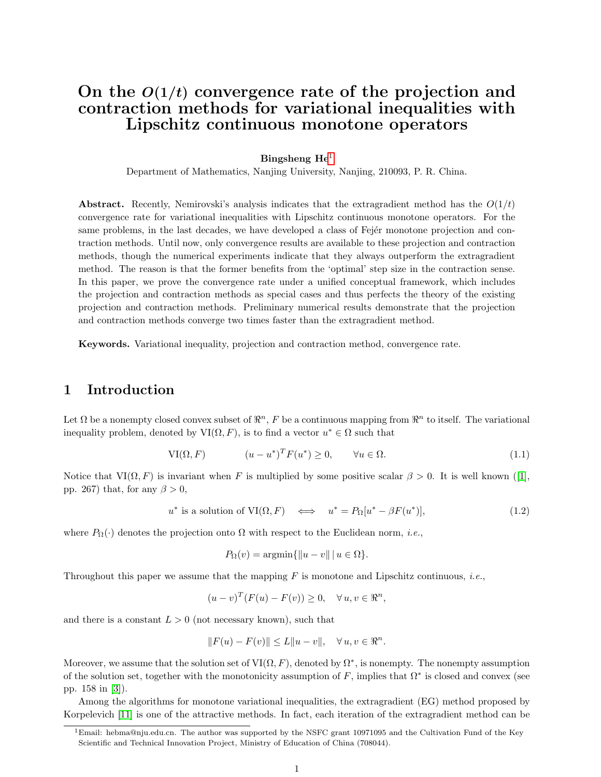# On the  $O(1/t)$  convergence rate of the projection and contraction methods for variational inequalities with Lipschitz continuous monotone operators

#### Bingsheng  $He<sup>1</sup>$  $He<sup>1</sup>$  $He<sup>1</sup>$

Department of Mathematics, Nanjing University, Nanjing, 210093, P. R. China.

**Abstract.** Recently, Nemirovski's analysis indicates that the extragradient method has the  $O(1/t)$ convergence rate for variational inequalities with Lipschitz continuous monotone operators. For the same problems, in the last decades, we have developed a class of Fejér monotone projection and contraction methods. Until now, only convergence results are available to these projection and contraction methods, though the numerical experiments indicate that they always outperform the extragradient method. The reason is that the former benefits from the 'optimal' step size in the contraction sense. In this paper, we prove the convergence rate under a unified conceptual framework, which includes the projection and contraction methods as special cases and thus perfects the theory of the existing projection and contraction methods. Preliminary numerical results demonstrate that the projection and contraction methods converge two times faster than the extragradient method.

Keywords. Variational inequality, projection and contraction method, convergence rate.

# 1 Introduction

Let  $\Omega$  be a nonempty closed convex subset of  $\mathbb{R}^n$ , F be a continuous mapping from  $\mathbb{R}^n$  to itself. The variational inequality problem, denoted by  $VI(\Omega, F)$ , is to find a vector  $u^* \in \Omega$  such that

<span id="page-0-2"></span>
$$
\text{VI}(\Omega, F) \qquad (u - u^*)^T F(u^*) \ge 0, \qquad \forall u \in \Omega. \tag{1.1}
$$

Notice that  $VI(\Omega, F)$  is invariant when F is multiplied by some positive scalar  $\beta > 0$ . It is well known ([\[1\]](#page-12-0), pp. 267) that, for any  $\beta > 0$ ,

$$
u^* \text{ is a solution of } \text{VI}(\Omega, F) \iff u^* = P_{\Omega}[u^* - \beta F(u^*)], \tag{1.2}
$$

where  $P_{\Omega}(\cdot)$  denotes the projection onto  $\Omega$  with respect to the Euclidean norm, *i.e.*,

<span id="page-0-1"></span>
$$
P_{\Omega}(v) = \operatorname{argmin}\{\|u - v\| \, | \, u \in \Omega\}.
$$

Throughout this paper we assume that the mapping  $F$  is monotone and Lipschitz continuous, *i.e.*,

 $(u-v)^T (F(u) - F(v)) \geq 0, \quad \forall u, v \in \mathbb{R}^n,$ 

and there is a constant  $L > 0$  (not necessary known), such that

$$
||F(u) - F(v)|| \le L||u - v||, \quad \forall u, v \in \mathbb{R}^n.
$$

Moreover, we assume that the solution set of  $VI(\Omega, F)$ , denoted by  $\Omega^*$ , is nonempty. The nonempty assumption of the solution set, together with the monotonicity assumption of  $F$ , implies that  $\Omega^*$  is closed and convex (see pp. 158 in [\[3\]](#page-12-1)).

Among the algorithms for monotone variational inequalities, the extragradient (EG) method proposed by Korpelevich [\[11\]](#page-13-0) is one of the attractive methods. In fact, each iteration of the extragradient method can be

<span id="page-0-0"></span><sup>&</sup>lt;sup>1</sup>Email: hebma@nju.edu.cn. The author was supported by the NSFC grant 10971095 and the Cultivation Fund of the Key Scientific and Technical Innovation Project, Ministry of Education of China (708044).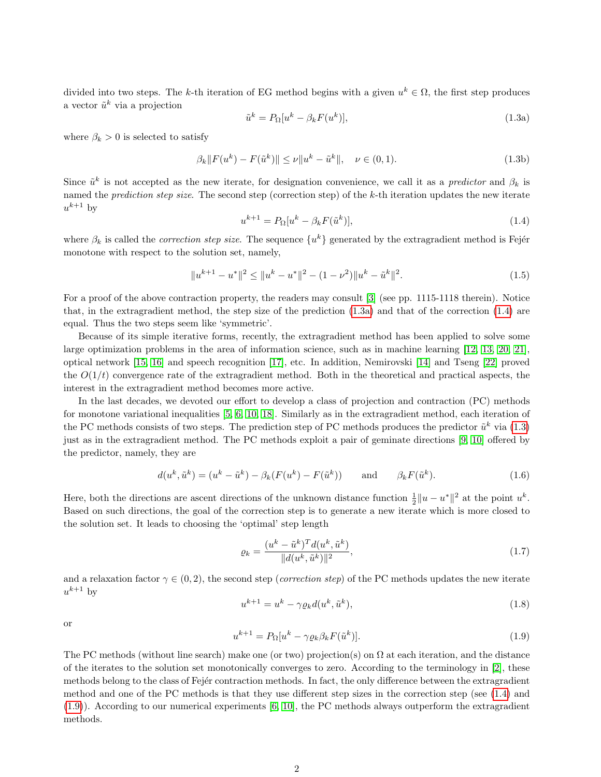divided into two steps. The k-th iteration of EG method begins with a given  $u^k \in \Omega$ , the first step produces a vector  $\tilde{u}^k$  via a projection

<span id="page-1-0"></span>
$$
\tilde{u}^k = P_{\Omega}[u^k - \beta_k F(u^k)],\tag{1.3a}
$$

where  $\beta_k > 0$  is selected to satisfy

<span id="page-1-4"></span>
$$
\beta_k \|F(u^k) - F(\tilde{u}^k)\| \le \nu \|u^k - \tilde{u}^k\|, \quad \nu \in (0, 1). \tag{1.3b}
$$

Since  $\tilde{u}^k$  is not accepted as the new iterate, for designation convenience, we call it as a *predictor* and  $\beta_k$  is named the *prediction step size*. The second step (correction step) of the k-th iteration updates the new iterate  $u^{k+1}$  by

<span id="page-1-1"></span>
$$
u^{k+1} = P_{\Omega}[u^k - \beta_k F(\tilde{u}^k)],\tag{1.4}
$$

where  $\beta_k$  is called the *correction step size*. The sequence  $\{u^k\}$  generated by the extragradient method is Fejér monotone with respect to the solution set, namely,

$$
||u^{k+1} - u^*||^2 \le ||u^k - u^*||^2 - (1 - \nu^2)||u^k - \tilde{u}^k||^2.
$$
\n(1.5)

For a proof of the above contraction property, the readers may consult [\[3\]](#page-12-1) (see pp. 1115-1118 therein). Notice that, in the extragradient method, the step size of the prediction [\(1.3a\)](#page-1-0) and that of the correction [\(1.4\)](#page-1-1) are equal. Thus the two steps seem like 'symmetric'.

Because of its simple iterative forms, recently, the extragradient method has been applied to solve some large optimization problems in the area of information science, such as in machine learning [\[12,](#page-13-1) [13,](#page-13-2) [20,](#page-13-3) [21\]](#page-13-4), optical network [\[15,](#page-13-5) [16\]](#page-13-6) and speech recognition [\[17\]](#page-13-7), etc. In addition, Nemirovski [\[14\]](#page-13-8) and Tseng [\[22\]](#page-13-9) proved the  $O(1/t)$  convergence rate of the extragradient method. Both in the theoretical and practical aspects, the interest in the extragradient method becomes more active.

In the last decades, we devoted our effort to develop a class of projection and contraction (PC) methods for monotone variational inequalities [\[5,](#page-13-10) [6,](#page-13-11) [10,](#page-13-12) [18\]](#page-13-13). Similarly as in the extragradient method, each iteration of the PC methods consists of two steps. The prediction step of PC methods produces the predictor  $\tilde{u}^k$  via [\(1.3\)](#page-0-1) just as in the extragradient method. The PC methods exploit a pair of geminate directions [\[9,](#page-13-14) [10\]](#page-13-12) offered by the predictor, namely, they are

<span id="page-1-5"></span>
$$
d(u^k, \tilde{u}^k) = (u^k - \tilde{u}^k) - \beta_k (F(u^k) - F(\tilde{u}^k)) \quad \text{and} \quad \beta_k F(\tilde{u}^k). \tag{1.6}
$$

Here, both the directions are ascent directions of the unknown distance function  $\frac{1}{2}||u - u^*||^2$  at the point  $u^k$ . Based on such directions, the goal of the correction step is to generate a new iterate which is more closed to the solution set. It leads to choosing the 'optimal' step length

$$
\varrho_k = \frac{(u^k - \tilde{u}^k)^T d(u^k, \tilde{u}^k)}{\|d(u^k, \tilde{u}^k)\|^2},\tag{1.7}
$$

and a relaxation factor  $\gamma \in (0, 2)$ , the second step (*correction step*) of the PC methods updates the new iterate  $u^{k+1}$  by

<span id="page-1-3"></span>
$$
u^{k+1} = u^k - \gamma \varrho_k d(u^k, \tilde{u}^k), \qquad (1.8)
$$

or

<span id="page-1-2"></span>
$$
u^{k+1} = P_{\Omega}[u^k - \gamma \varrho_k \beta_k F(\tilde{u}^k)].
$$
\n(1.9)

The PC methods (without line search) make one (or two) projection(s) on  $\Omega$  at each iteration, and the distance of the iterates to the solution set monotonically converges to zero. According to the terminology in [\[2\]](#page-12-2), these methods belong to the class of Fejér contraction methods. In fact, the only difference between the extragradient method and one of the PC methods is that they use different step sizes in the correction step (see [\(1.4\)](#page-1-1) and [\(1.9\)](#page-1-2)). According to our numerical experiments [\[6,](#page-13-11) [10\]](#page-13-12), the PC methods always outperform the extragradient methods.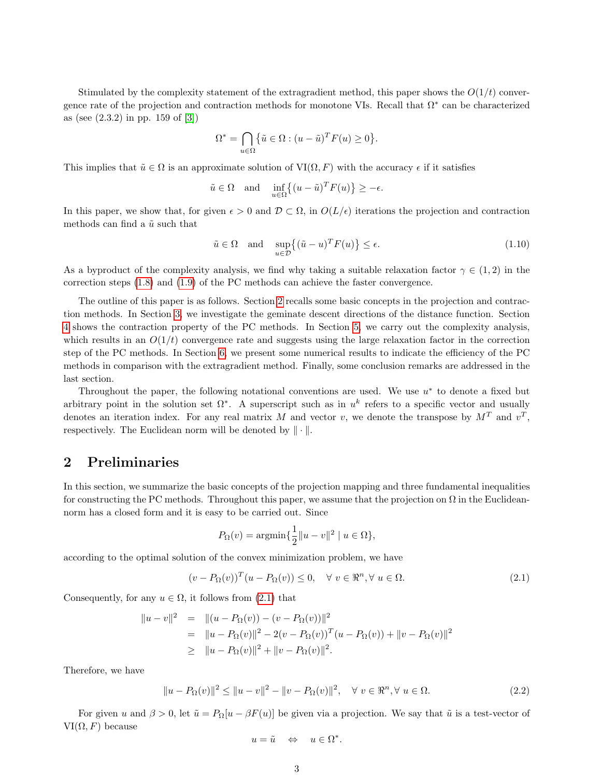Stimulated by the complexity statement of the extragradient method, this paper shows the  $O(1/t)$  convergence rate of the projection and contraction methods for monotone VIs. Recall that  $\Omega^*$  can be characterized as (see (2.3.2) in pp. 159 of [\[3\]](#page-12-1))

$$
\Omega^* = \bigcap_{u \in \Omega} \{ \tilde{u} \in \Omega : (u - \tilde{u})^T F(u) \ge 0 \}.
$$

This implies that  $\tilde{u} \in \Omega$  is an approximate solution of  $VI(\Omega, F)$  with the accuracy  $\epsilon$  if it satisfies

$$
\tilde{u} \in \Omega
$$
 and  $\inf_{u \in \Omega} \{ (u - \tilde{u})^T F(u) \} \ge -\epsilon$ .

In this paper, we show that, for given  $\epsilon > 0$  and  $\mathcal{D} \subset \Omega$ , in  $O(L/\epsilon)$  iterations the projection and contraction methods can find a  $\tilde{u}$  such that

$$
\tilde{u} \in \Omega \quad \text{and} \quad \sup_{u \in \mathcal{D}} \left\{ (\tilde{u} - u)^T F(u) \right\} \le \epsilon. \tag{1.10}
$$

As a byproduct of the complexity analysis, we find why taking a suitable relaxation factor  $\gamma \in (1,2)$  in the correction steps [\(1.8\)](#page-1-3) and [\(1.9\)](#page-1-2) of the PC methods can achieve the faster convergence.

The outline of this paper is as follows. Section [2](#page-2-0) recalls some basic concepts in the projection and contraction methods. In Section [3,](#page-3-0) we investigate the geminate descent directions of the distance function. Section [4](#page-5-0) shows the contraction property of the PC methods. In Section [5,](#page-7-0) we carry out the complexity analysis, which results in an  $O(1/t)$  convergence rate and suggests using the large relaxation factor in the correction step of the PC methods. In Section [6,](#page-9-0) we present some numerical results to indicate the efficiency of the PC methods in comparison with the extragradient method. Finally, some conclusion remarks are addressed in the last section.

Throughout the paper, the following notational conventions are used. We use  $u^*$  to denote a fixed but arbitrary point in the solution set  $\Omega^*$ . A superscript such as in  $u^k$  refers to a specific vector and usually denotes an iteration index. For any real matrix M and vector v, we denote the transpose by  $M<sup>T</sup>$  and  $v<sup>T</sup>$ , respectively. The Euclidean norm will be denoted by  $\|\cdot\|$ .

### <span id="page-2-0"></span>2 Preliminaries

In this section, we summarize the basic concepts of the projection mapping and three fundamental inequalities for constructing the PC methods. Throughout this paper, we assume that the projection on  $\Omega$  in the Euclideannorm has a closed form and it is easy to be carried out. Since

$$
P_{\Omega}(v) = \operatorname{argmin}\left\{\frac{1}{2}||u - v||^2 \mid u \in \Omega\right\},\
$$

according to the optimal solution of the convex minimization problem, we have

<span id="page-2-1"></span>
$$
(v - P_{\Omega}(v))^T (u - P_{\Omega}(v)) \le 0, \quad \forall \ v \in \mathbb{R}^n, \forall \ u \in \Omega.
$$
\n
$$
(2.1)
$$

Consequently, for any  $u \in \Omega$ , it follows from  $(2.1)$  that

$$
||u - v||2 = ||(u - P_{\Omega}(v)) - (v - P_{\Omega}(v))||2
$$
  
= 
$$
||u - P_{\Omega}(v)||2 - 2(v - P_{\Omega}(v))T(u - P_{\Omega}(v)) + ||v - P_{\Omega}(v)||2
$$
  

$$
\geq ||u - P_{\Omega}(v)||2 + ||v - P_{\Omega}(v)||2.
$$

Therefore, we have

<span id="page-2-2"></span>
$$
||u - P_{\Omega}(v)||^2 \le ||u - v||^2 - ||v - P_{\Omega}(v)||^2, \quad \forall \ v \in \Re^n, \forall \ u \in \Omega.
$$
 (2.2)

For given u and  $\beta > 0$ , let  $\tilde{u} = P_{\Omega}[u - \beta F(u)]$  be given via a projection. We say that  $\tilde{u}$  is a test-vector of  $VI(\Omega, F)$  because

$$
u = \tilde{u} \quad \Leftrightarrow \quad u \in \Omega^*.
$$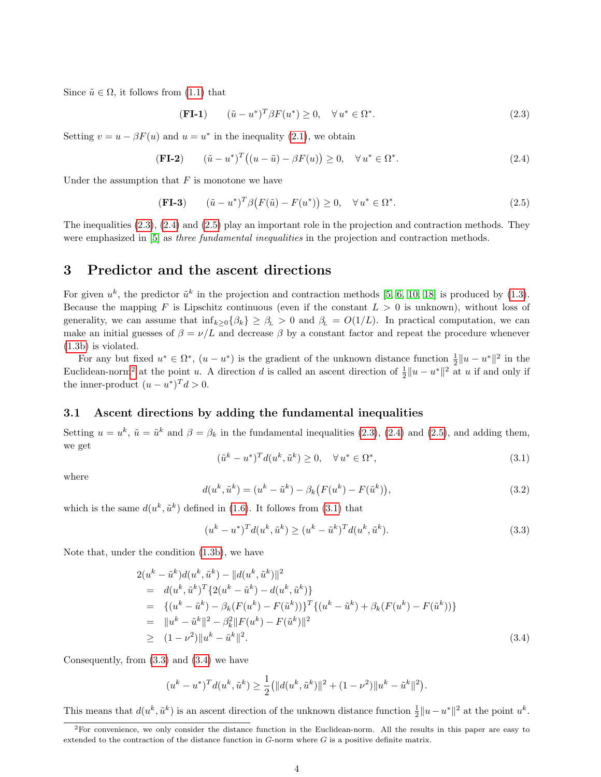Since  $\tilde{u} \in \Omega$ , it follows from [\(1.1\)](#page-0-2) that

<span id="page-3-1"></span>
$$
(\mathbf{FI-1}) \qquad (\tilde{u} - u^*)^T \beta F(u^*) \ge 0, \quad \forall u^* \in \Omega^*.
$$
\n
$$
(2.3)
$$

Setting  $v = u - \beta F(u)$  and  $u = u^*$  in the inequality [\(2.1\)](#page-2-1), we obtain

<span id="page-3-2"></span>
$$
(\mathbf{FI-2}) \qquad (\tilde{u}-u^*)^T\big((u-\tilde{u})-\beta F(u)\big) \ge 0, \quad \forall u^* \in \Omega^*.
$$
\n
$$
(2.4)
$$

Under the assumption that  $F$  is monotone we have

<span id="page-3-3"></span>(FI-3) 
$$
(\tilde{u} - u^*)^T \beta (F(\tilde{u}) - F(u^*)) \ge 0, \quad \forall u^* \in \Omega^*.
$$
 (2.5)

The inequalities [\(2.3\)](#page-3-1), [\(2.4\)](#page-3-2) and [\(2.5\)](#page-3-3) play an important role in the projection and contraction methods. They were emphasized in [\[5\]](#page-13-10) as *three fundamental inequalities* in the projection and contraction methods.

### <span id="page-3-0"></span>3 Predictor and the ascent directions

For given  $u^k$ , the predictor  $\tilde{u}^k$  in the projection and contraction methods [\[5,](#page-13-10) [6,](#page-13-11) [10,](#page-13-12) [18\]](#page-13-13) is produced by [\(1.3\)](#page-0-1). Because the mapping F is Lipschitz continuous (even if the constant  $L > 0$  is unknown), without loss of generality, we can assume that  $\inf_{k\geq 0} {\beta_k} \geq \beta_L > 0$  and  $\beta_L = O(1/L)$ . In practical computation, we can make an initial guesses of  $\beta = \nu/L$  and decrease  $\beta$  by a constant factor and repeat the procedure whenever [\(1.3b\)](#page-1-4) is violated.

For any but fixed  $u^* \in \Omega^*$ ,  $(u - u^*)$  is the gradient of the unknown distance function  $\frac{1}{2}||u - u^*||^2$  in the Euclidean-norm<sup>[2](#page-3-4)</sup> at the point u. A direction d is called an ascent direction of  $\frac{1}{2}||u - u^*||^2$  at u if and only if the inner-product  $(u - u^*)^T d > 0$ .

### 3.1 Ascent directions by adding the fundamental inequalities

Setting  $u = u^k$ ,  $\tilde{u} = \tilde{u}^k$  and  $\beta = \beta_k$  in the fundamental inequalities [\(2.3\)](#page-3-1), [\(2.4\)](#page-3-2) and [\(2.5\)](#page-3-3), and adding them, we get

<span id="page-3-5"></span>
$$
(\tilde{u}^k - u^*)^T d(u^k, \tilde{u}^k) \ge 0, \quad \forall u^* \in \Omega^*,
$$
\n
$$
(3.1)
$$

where

<span id="page-3-8"></span>
$$
d(u^k, \tilde{u}^k) = (u^k - \tilde{u}^k) - \beta_k (F(u^k) - F(\tilde{u}^k)),
$$
\n(3.2)

which is the same  $d(u^k, \tilde{u}^k)$  defined in [\(1.6\)](#page-1-5). It follows from [\(3.1\)](#page-3-5) that

<span id="page-3-6"></span>
$$
(u^k - u^*)^T d(u^k, \tilde{u}^k) \ge (u^k - \tilde{u}^k)^T d(u^k, \tilde{u}^k).
$$
\n(3.3)

Note that, under the condition [\(1.3b\)](#page-1-4), we have

<span id="page-3-7"></span>
$$
2(u^{k} - \tilde{u}^{k})d(u^{k}, \tilde{u}^{k}) - ||d(u^{k}, \tilde{u}^{k})||^{2}
$$
  
\n
$$
= d(u^{k}, \tilde{u}^{k})^{T} \{2(u^{k} - \tilde{u}^{k}) - d(u^{k}, \tilde{u}^{k})\}
$$
  
\n
$$
= \{(u^{k} - \tilde{u}^{k}) - \beta_{k}(F(u^{k}) - F(\tilde{u}^{k}))\}^{T} \{(u^{k} - \tilde{u}^{k}) + \beta_{k}(F(u^{k}) - F(\tilde{u}^{k}))\}
$$
  
\n
$$
= ||u^{k} - \tilde{u}^{k}||^{2} - \beta_{k}^{2}||F(u^{k}) - F(\tilde{u}^{k})||^{2}
$$
  
\n
$$
\geq (1 - \nu^{2})||u^{k} - \tilde{u}^{k}||^{2}.
$$
\n(3.4)

Consequently, from [\(3.3\)](#page-3-6) and [\(3.4\)](#page-3-7) we have

$$
(u^k - u^*)^T d(u^k, \tilde{u}^k) \ge \frac{1}{2} (||d(u^k, \tilde{u}^k)||^2 + (1 - \nu^2) ||u^k - \tilde{u}^k||^2).
$$

This means that  $d(u^k, \tilde{u}^k)$  is an ascent direction of the unknown distance function  $\frac{1}{2}||u - u^*||^2$  at the point  $u^k$ .

<span id="page-3-4"></span><sup>2</sup>For convenience, we only consider the distance function in the Euclidean-norm. All the results in this paper are easy to extended to the contraction of the distance function in  $G$ -norm where  $G$  is a positive definite matrix.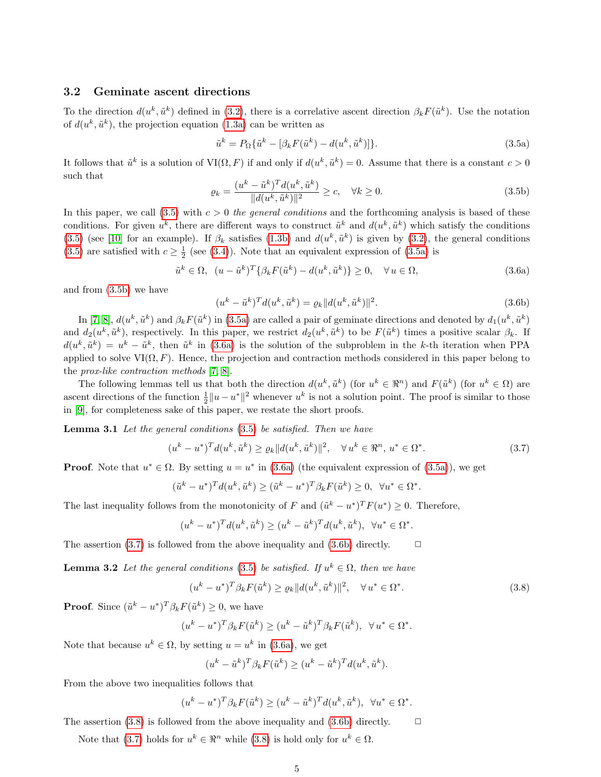### 3.2 Geminate ascent directions

To the direction  $d(u^k, \tilde{u}^k)$  defined in [\(3.2\)](#page-3-8), there is a correlative ascent direction  $\beta_k F(\tilde{u}^k)$ . Use the notation of  $d(u^k, \tilde{u}^k)$ , the projection equation [\(1.3a\)](#page-1-0) can be written as

<span id="page-4-1"></span><span id="page-4-0"></span>
$$
\tilde{u}^k = P_{\Omega} \{ \tilde{u}^k - [\beta_k F(\tilde{u}^k) - d(u^k, \tilde{u}^k)] \}.
$$
\n(3.5a)

It follows that  $\tilde{u}^k$  is a solution of  $VI(\Omega, F)$  if and only if  $d(u^k, \tilde{u}^k) = 0$ . Assume that there is a constant  $c > 0$ such that

<span id="page-4-2"></span>
$$
\varrho_k = \frac{(u^k - \tilde{u}^k)^T d(u^k, \tilde{u}^k)}{\|d(u^k, \tilde{u}^k)\|^2} \ge c, \quad \forall k \ge 0.
$$
\n(3.5b)

In this paper, we call  $(3.5)$  with  $c > 0$  the general conditions and the forthcoming analysis is based of these conditions. For given  $u^k$ , there are different ways to construct  $\tilde{u}^k$  and  $d(u^k, \tilde{u}^k)$  which satisfy the conditions [\(3.5\)](#page-4-0) (see [\[10\]](#page-13-12) for an example). If  $\beta_k$  satisfies [\(1.3b\)](#page-1-4) and  $d(u^k, \tilde{u}^k)$  is given by [\(3.2\)](#page-3-8), the general conditions [\(3.5\)](#page-4-0) are satisfied with  $c \geq \frac{1}{2}$  (see [\(3.4\)](#page-3-7)). Note that an equivalent expression of [\(3.5a\)](#page-4-1) is

<span id="page-4-3"></span>
$$
\tilde{u}^k \in \Omega, \ \ (u - \tilde{u}^k)^T \{ \beta_k F(\tilde{u}^k) - d(u^k, \tilde{u}^k) \} \ge 0, \quad \forall u \in \Omega,
$$
\n(3.6a)

and from [\(3.5b\)](#page-4-2) we have

<span id="page-4-5"></span>
$$
(u^k - \tilde{u}^k)^T d(u^k, \tilde{u}^k) = \varrho_k \|d(u^k, \tilde{u}^k)\|^2.
$$
\n(3.6b)

In [\[7,](#page-13-15) [8\]](#page-13-16),  $d(u^k, \tilde{u}^k)$  and  $\beta_k F(\tilde{u}^k)$  in [\(3.5a\)](#page-4-1) are called a pair of geminate directions and denoted by  $d_1(u^k, \tilde{u}^k)$ and  $d_2(u^k, \tilde{u}^k)$ , respectively. In this paper, we restrict  $d_2(u^k, \tilde{u}^k)$  to be  $F(\tilde{u}^k)$  times a positive scalar  $\beta_k$ . If  $d(u^k, \tilde{u}^k) = u^k - \tilde{u}^k$ , then  $\tilde{u}^k$  in [\(3.6a\)](#page-4-3) is the solution of the subproblem in the k-th iteration when PPA applied to solve  $VI(\Omega, F)$ . Hence, the projection and contraction methods considered in this paper belong to the *prox-like contraction methods*  $[7, 8]$  $[7, 8]$ .

The following lemmas tell us that both the direction  $d(u^k, \tilde{u}^k)$  (for  $u^k \in \mathbb{R}^n$ ) and  $F(\tilde{u}^k)$  (for  $u^k \in \Omega$ ) are ascent directions of the function  $\frac{1}{2}||u - u^*||^2$  whenever  $u^k$  is not a solution point. The proof is similar to those in [\[9\]](#page-13-14), for completeness sake of this paper, we restate the short proofs.

**Lemma 3.1** Let the general conditions [\(3.5\)](#page-4-0) be satisfied. Then we have

<span id="page-4-4"></span>
$$
(u^{k} - u^{*})^{T} d(u^{k}, \tilde{u}^{k}) \ge \varrho_{k} \|d(u^{k}, \tilde{u}^{k})\|^{2}, \quad \forall u^{k} \in \mathbb{R}^{n}, u^{*} \in \Omega^{*}.
$$
\n(3.7)

**Proof.** Note that  $u^* \in \Omega$ . By setting  $u = u^*$  in [\(3.6a\)](#page-4-3) (the equivalent expression of [\(3.5a\)](#page-4-1)), we get

$$
(\tilde{u}^k - u^*)^T d(u^k, \tilde{u}^k) \ge (\tilde{u}^k - u^*)^T \beta_k F(\tilde{u}^k) \ge 0, \ \forall u^* \in \Omega^*
$$

The last inequality follows from the monotonicity of F and  $(\tilde{u}^k - u^*)^T F(u^*) \geq 0$ . Therefore,

$$
(u^k - u^*)^T d(u^k, \tilde{u}^k) \ge (u^k - \tilde{u}^k)^T d(u^k, \tilde{u}^k), \ \forall u^* \in \Omega^*
$$

The assertion [\(3.7\)](#page-4-4) is followed from the above inequality and [\(3.6b\)](#page-4-5) directly.  $\Box$ 

**Lemma 3.2** Let the general conditions [\(3.5\)](#page-4-0) be satisfied. If  $u^k \in \Omega$ , then we have

<span id="page-4-6"></span>
$$
(u^k - u^*)^T \beta_k F(\tilde{u}^k) \ge \varrho_k \|d(u^k, \tilde{u}^k)\|^2, \quad \forall u^* \in \Omega^*.
$$
\n
$$
(3.8)
$$

.

.

**Proof.** Since  $(\tilde{u}^k - u^*)^T \beta_k F(\tilde{u}^k) \geq 0$ , we have

$$
(u^k - u^*)^T \beta_k F(\tilde{u}^k) \ge (u^k - \tilde{u}^k)^T \beta_k F(\tilde{u}^k), \ \ \forall u^* \in \Omega^*.
$$

Note that because  $u^k \in \Omega$ , by setting  $u = u^k$  in [\(3.6a\)](#page-4-3), we get

$$
(u^k - \tilde{u}^k)^T \beta_k F(\tilde{u}^k) \ge (u^k - \tilde{u}^k)^T d(u^k, \tilde{u}^k).
$$

From the above two inequalities follows that

$$
(u^k - u^*)^T \beta_k F(\tilde{u}^k) \ge (u^k - \tilde{u}^k)^T d(u^k, \tilde{u}^k), \ \ \forall u^* \in \Omega^*.
$$

The assertion [\(3.8\)](#page-4-6) is followed from the above inequality and [\(3.6b\)](#page-4-5) directly.  $\Box$ 

Note that [\(3.7\)](#page-4-4) holds for  $u^k \in \mathbb{R}^n$  while [\(3.8\)](#page-4-6) is hold only for  $u^k \in \Omega$ .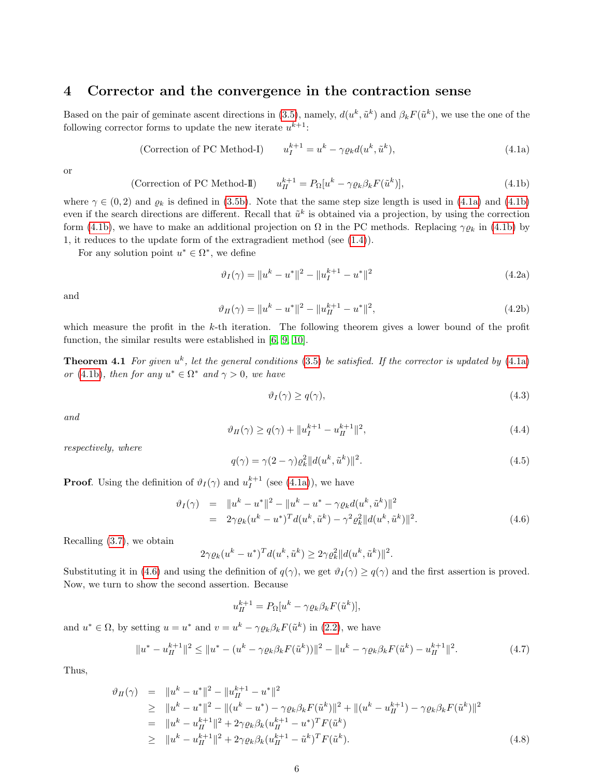# <span id="page-5-0"></span>4 Corrector and the convergence in the contraction sense

Based on the pair of geminate ascent directions in [\(3.5\)](#page-4-0), namely,  $d(u^k, \tilde{u}^k)$  and  $\beta_k F(\tilde{u}^k)$ , we use the one of the following corrector forms to update the new iterate  $u^{k+1}$ :

<span id="page-5-5"></span><span id="page-5-1"></span>(Correction of PC Method-I) 
$$
u_I^{k+1} = u^k - \gamma \varrho_k d(u^k, \tilde{u}^k), \qquad (4.1a)
$$

or

<span id="page-5-2"></span>(Correction of PC Method-II) 
$$
u_{II}^{k+1} = P_{\Omega}[u^k - \gamma \varrho_k \beta_k F(\tilde{u}^k)], \qquad (4.1b)
$$

where  $\gamma \in (0, 2)$  and  $\varrho_k$  is defined in [\(3.5b\)](#page-4-2). Note that the same step size length is used in [\(4.1a\)](#page-5-1) and [\(4.1b\)](#page-5-2) even if the search directions are different. Recall that  $\tilde{u}^k$  is obtained via a projection, by using the correction form [\(4.1b\)](#page-5-2), we have to make an additional projection on  $\Omega$  in the PC methods. Replacing  $\gamma \varrho_k$  in (4.1b) by 1, it reduces to the update form of the extragradient method (see [\(1.4\)](#page-1-1)).

For any solution point  $u^* \in \Omega^*$ , we define

$$
\vartheta_I(\gamma) = \|u^k - u^*\|^2 - \|u_I^{k+1} - u^*\|^2 \tag{4.2a}
$$

and

$$
\vartheta_H(\gamma) = \|u^k - u^*\|^2 - \|u_H^{k+1} - u^*\|^2,\tag{4.2b}
$$

which measure the profit in the  $k$ -th iteration. The following theorem gives a lower bound of the profit function, the similar results were established in [\[6,](#page-13-11) [9,](#page-13-14) [10\]](#page-13-12).

<span id="page-5-6"></span>**Theorem 4.1** For given  $u^k$ , let the general conditions [\(3.5\)](#page-4-0) be satisfied. If the corrector is updated by [\(4.1a\)](#page-5-1) or [\(4.1b\)](#page-5-2), then for any  $u^* \in \Omega^*$  and  $\gamma > 0$ , we have

<span id="page-5-8"></span>
$$
\vartheta_I(\gamma) \ge q(\gamma),\tag{4.3}
$$

and

<span id="page-5-9"></span>
$$
\vartheta_H(\gamma) \ge q(\gamma) + \|u_I^{k+1} - u_H^{k+1}\|^2,\tag{4.4}
$$

respectively, where

<span id="page-5-7"></span>
$$
q(\gamma) = \gamma(2 - \gamma)\varrho_k^2 ||d(u^k, \tilde{u}^k)||^2.
$$
\n(4.5)

**Proof.** Using the definition of  $\vartheta_I(\gamma)$  and  $u_I^{k+1}$  (see [\(4.1a\)](#page-5-1)), we have

<span id="page-5-3"></span>
$$
\vartheta_I(\gamma) = \|u^k - u^*\|^2 - \|u^k - u^* - \gamma \varrho_k d(u^k, \tilde{u}^k)\|^2
$$
  
=  $2\gamma \varrho_k (u^k - u^*)^T d(u^k, \tilde{u}^k) - \gamma^2 \varrho_k^2 \|d(u^k, \tilde{u}^k)\|^2.$  (4.6)

Recalling [\(3.7\)](#page-4-4), we obtain

$$
2\gamma \varrho_k (u^k - u^*)^T d(u^k, \tilde{u}^k) \geq 2\gamma \varrho_k^2 ||d(u^k, \tilde{u}^k)||^2.
$$

Substituting it in [\(4.6\)](#page-5-3) and using the definition of  $q(\gamma)$ , we get  $\vartheta_I(\gamma) \geq q(\gamma)$  and the first assertion is proved. Now, we turn to show the second assertion. Because

$$
u_{II}^{k+1} = P_{\Omega}[u^k - \gamma \varrho_k \beta_k F(\tilde{u}^k)],
$$

and  $u^* \in \Omega$ , by setting  $u = u^*$  and  $v = u^k - \gamma \varrho_k \beta_k F(\tilde{u}^k)$  in [\(2.2\)](#page-2-2), we have

$$
||u^* - u_H^{k+1}||^2 \le ||u^* - (u^k - \gamma \varrho_k \beta_k F(\tilde{u}^k))||^2 - ||u^k - \gamma \varrho_k \beta_k F(\tilde{u}^k) - u_H^{k+1}||^2.
$$
 (4.7)

Thus,

<span id="page-5-4"></span>
$$
\vartheta_{H}(\gamma) = \|u^{k} - u^{*}\|^{2} - \|u_{H}^{k+1} - u^{*}\|^{2}
$$
\n
$$
\geq \|u^{k} - u^{*}\|^{2} - \|u^{k} - u^{*}\|^{2} - \gamma \varrho_{k}\beta_{k}F(\tilde{u}^{k})\|^{2} + \|u^{k} - u_{H}^{k+1}\|^{2} - \gamma \varrho_{k}\beta_{k}F(\tilde{u}^{k})\|^{2}
$$
\n
$$
= \|u^{k} - u_{H}^{k+1}\|^{2} + 2\gamma \varrho_{k}\beta_{k}(u_{H}^{k+1} - u^{*})^{T}F(\tilde{u}^{k})
$$
\n
$$
\geq \|u^{k} - u_{H}^{k+1}\|^{2} + 2\gamma \varrho_{k}\beta_{k}(u_{H}^{k+1} - \tilde{u}^{k})^{T}F(\tilde{u}^{k}). \tag{4.8}
$$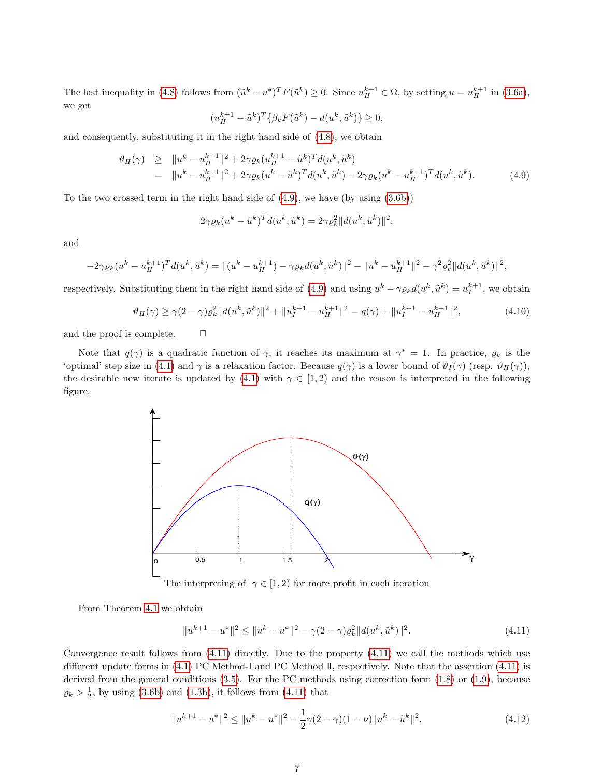The last inequality in [\(4.8\)](#page-5-4) follows from  $(\tilde{u}^k - u^*)^T F(\tilde{u}^k) \ge 0$ . Since  $u_H^{k+1} \in \Omega$ , by setting  $u = u_H^{k+1}$  in [\(3.6a\)](#page-4-3), we get

$$
(u_{II}^{k+1} - \tilde{u}^k)^T \{ \beta_k F(\tilde{u}^k) - d(u^k, \tilde{u}^k) \} \ge 0,
$$

and consequently, substituting it in the right hand side of [\(4.8\)](#page-5-4), we obtain

<span id="page-6-0"></span>
$$
\vartheta_{H}(\gamma) \geq \|u^{k} - u_{H}^{k+1}\|^{2} + 2\gamma \varrho_{k} (u_{H}^{k+1} - \tilde{u}^{k})^{T} d(u^{k}, \tilde{u}^{k})
$$
\n
$$
= \|u^{k} - u_{H}^{k+1}\|^{2} + 2\gamma \varrho_{k} (u^{k} - \tilde{u}^{k})^{T} d(u^{k}, \tilde{u}^{k}) - 2\gamma \varrho_{k} (u^{k} - u_{H}^{k+1})^{T} d(u^{k}, \tilde{u}^{k}). \tag{4.9}
$$

To the two crossed term in the right hand side of  $(4.9)$ , we have (by using  $(3.6b)$ )

$$
2\gamma \varrho_k (u^k - \tilde{u}^k)^T d(u^k, \tilde{u}^k) = 2\gamma \varrho_k^2 ||d(u^k, \tilde{u}^k)||^2,
$$

and

$$
-2\gamma \varrho_k (u^k - u^{k+1}_{II})^T d(u^k, \tilde{u}^k) = ||(u^k - u^{k+1}_{II}) - \gamma \varrho_k d(u^k, \tilde{u}^k)||^2 - ||u^k - u^{k+1}_{II}||^2 - \gamma^2 \varrho_k^2 ||d(u^k, \tilde{u}^k)||^2,
$$

respectively. Substituting them in the right hand side of [\(4.9\)](#page-6-0) and using  $u^k - \gamma \varrho_k d(u^k, \tilde{u}^k) = u_I^{k+1}$ , we obtain

$$
\vartheta_H(\gamma) \ge \gamma (2 - \gamma) \varrho_k^2 \|d(u^k, \tilde{u}^k)\|^2 + \|u_I^{k+1} - u_{II}^{k+1}\|^2 = q(\gamma) + \|u_I^{k+1} - u_{II}^{k+1}\|^2,\tag{4.10}
$$

and the proof is complete.  $\Box$ 

Note that  $q(\gamma)$  is a quadratic function of  $\gamma$ , it reaches its maximum at  $\gamma^* = 1$ . In practice,  $\varrho_k$  is the 'optimal' step size in [\(4.1\)](#page-5-5) and  $\gamma$  is a relaxation factor. Because  $q(\gamma)$  is a lower bound of  $\vartheta_I(\gamma)$  (resp.  $\vartheta_{II}(\gamma)$ ), the desirable new iterate is updated by [\(4.1\)](#page-5-5) with  $\gamma \in [1, 2)$  and the reason is interpreted in the following figure.



The interpreting of  $\gamma \in [1, 2)$  for more profit in each iteration

From Theorem [4.1](#page-5-6) we obtain

<span id="page-6-1"></span>
$$
||u^{k+1} - u^*||^2 \le ||u^k - u^*||^2 - \gamma(2 - \gamma)\varrho_k^2 ||d(u^k, \tilde{u}^k)||^2.
$$
\n(4.11)

Convergence result follows from  $(4.11)$  directly. Due to the property  $(4.11)$  we call the methods which use different update forms in [\(4.1\)](#page-5-5) PC Method-I and PC Method II, respectively. Note that the assertion [\(4.11\)](#page-6-1) is derived from the general conditions [\(3.5\)](#page-4-0). For the PC methods using correction form [\(1.8\)](#page-1-3) or [\(1.9\)](#page-1-2), because  $\varrho_k > \frac{1}{2}$ , by using [\(3.6b\)](#page-4-5) and [\(1.3b\)](#page-1-4), it follows from [\(4.11\)](#page-6-1) that

$$
||u^{k+1} - u^*||^2 \le ||u^k - u^*||^2 - \frac{1}{2}\gamma(2-\gamma)(1-\nu)||u^k - \tilde{u}^k||^2.
$$
 (4.12)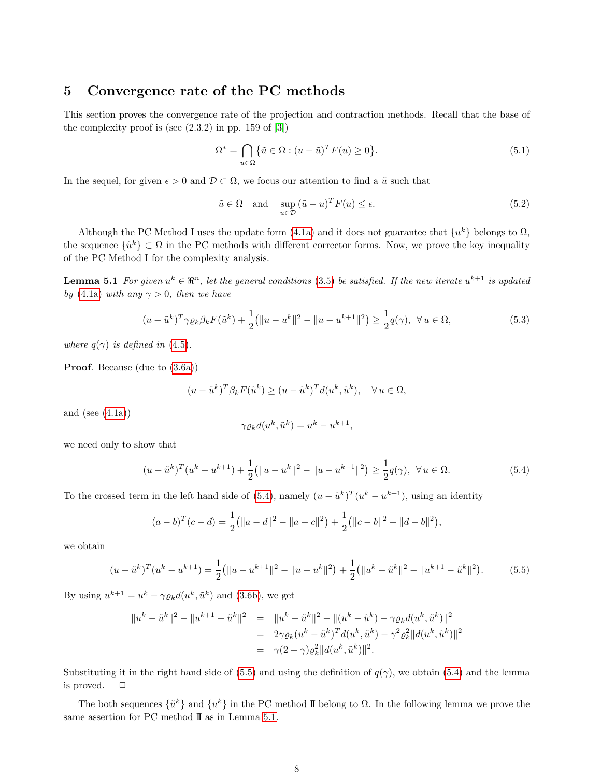# <span id="page-7-0"></span>5 Convergence rate of the PC methods

This section proves the convergence rate of the projection and contraction methods. Recall that the base of the complexity proof is (see  $(2.3.2)$  in pp. 159 of  $[3]$ )

$$
\Omega^* = \bigcap_{u \in \Omega} \{ \tilde{u} \in \Omega : (u - \tilde{u})^T F(u) \ge 0 \}.
$$
\n
$$
(5.1)
$$

In the sequel, for given  $\epsilon > 0$  and  $\mathcal{D} \subset \Omega$ , we focus our attention to find a  $\tilde{u}$  such that

$$
\tilde{u} \in \Omega \quad \text{and} \quad \sup_{u \in \mathcal{D}} (\tilde{u} - u)^T F(u) \le \epsilon. \tag{5.2}
$$

Although the PC Method I uses the update form [\(4.1a\)](#page-5-1) and it does not guarantee that  $\{u^k\}$  belongs to  $\Omega$ , the sequence  $\{\tilde{u}^k\} \subset \Omega$  in the PC methods with different corrector forms. Now, we prove the key inequality of the PC Method I for the complexity analysis.

<span id="page-7-3"></span>**Lemma 5.1** For given  $u^k \in \Re^n$ , let the general conditions [\(3.5\)](#page-4-0) be satisfied. If the new iterate  $u^{k+1}$  is updated by [\(4.1a\)](#page-5-1) with any  $\gamma > 0$ , then we have

<span id="page-7-5"></span>
$$
(u - \tilde{u}^k)^T \gamma \varrho_k \beta_k F(\tilde{u}^k) + \frac{1}{2} (||u - u^k||^2 - ||u - u^{k+1}||^2) \ge \frac{1}{2} q(\gamma), \ \forall u \in \Omega,
$$
\n
$$
(5.3)
$$

where  $q(\gamma)$  is defined in [\(4.5\)](#page-5-7).

Proof. Because (due to [\(3.6a\)](#page-4-3))

$$
(u - \tilde{u}^k)^T \beta_k F(\tilde{u}^k) \ge (u - \tilde{u}^k)^T d(u^k, \tilde{u}^k), \quad \forall u \in \Omega,
$$

and (see  $(4.1a)$ )

$$
\gamma \varrho_k d(u^k,\tilde{u}^k)=u^k-u^{k+1},
$$

we need only to show that

<span id="page-7-1"></span>
$$
(u - \tilde{u}^k)^T (u^k - u^{k+1}) + \frac{1}{2} (||u - u^k||^2 - ||u - u^{k+1}||^2) \ge \frac{1}{2} q(\gamma), \ \forall u \in \Omega.
$$
 (5.4)

To the crossed term in the left hand side of [\(5.4\)](#page-7-1), namely  $(u - \tilde{u}^k)^T(u^k - u^{k+1})$ , using an identity

$$
(a-b)^{T}(c-d) = \frac{1}{2} (||a-d||^{2} - ||a-c||^{2}) + \frac{1}{2} (||c-b||^{2} - ||d-b||^{2}),
$$

we obtain

<span id="page-7-2"></span>
$$
(u - \tilde{u}^k)^T (u^k - u^{k+1}) = \frac{1}{2} (||u - u^{k+1}||^2 - ||u - u^k||^2) + \frac{1}{2} (||u^k - \tilde{u}^k||^2 - ||u^{k+1} - \tilde{u}^k||^2).
$$
 (5.5)

By using  $u^{k+1} = u^k - \gamma \varrho_k d(u^k, \tilde{u}^k)$  and [\(3.6b\)](#page-4-5), we get

$$
||u^{k} - \tilde{u}^{k}||^{2} - ||u^{k+1} - \tilde{u}^{k}||^{2} = ||u^{k} - \tilde{u}^{k}||^{2} - ||(u^{k} - \tilde{u}^{k}) - \gamma \varrho_{k} d(u^{k}, \tilde{u}^{k})||^{2}
$$
  
=  $2\gamma \varrho_{k} (u^{k} - \tilde{u}^{k})^{T} d(u^{k}, \tilde{u}^{k}) - \gamma^{2} \varrho_{k}^{2} ||d(u^{k}, \tilde{u}^{k})||^{2}$   
=  $\gamma (2 - \gamma) \varrho_{k}^{2} ||d(u^{k}, \tilde{u}^{k})||^{2}.$ 

Substituting it in the right hand side of [\(5.5\)](#page-7-2) and using the definition of  $q(\gamma)$ , we obtain [\(5.4\)](#page-7-1) and the lemma is proved.  $\square$ 

<span id="page-7-4"></span>The both sequences  $\{\tilde{u}^k\}$  and  $\{u^k\}$  in the PC method II belong to  $\Omega$ . In the following lemma we prove the same assertion for PC method II as in Lemma [5.1.](#page-7-3)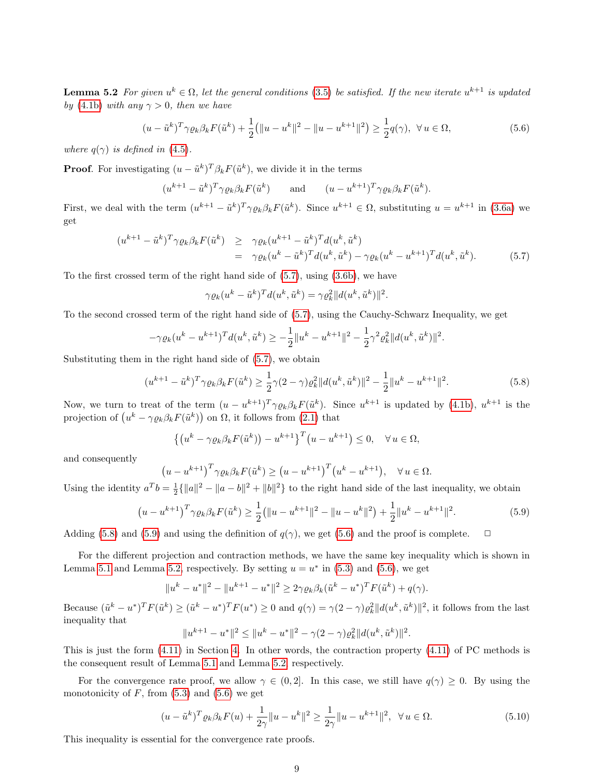**Lemma 5.2** For given  $u^k \in \Omega$ , let the general conditions [\(3.5\)](#page-4-0) be satisfied. If the new iterate  $u^{k+1}$  is updated by [\(4.1b\)](#page-5-2) with any  $\gamma > 0$ , then we have

<span id="page-8-3"></span>
$$
(u - \tilde{u}^k)^T \gamma \varrho_k \beta_k F(\tilde{u}^k) + \frac{1}{2} (||u - u^k||^2 - ||u - u^{k+1}||^2) \ge \frac{1}{2} q(\gamma), \ \forall u \in \Omega,
$$
\n(5.6)

where  $q(\gamma)$  is defined in [\(4.5\)](#page-5-7).

**Proof.** For investigating  $(u - \tilde{u}^k)^T \beta_k F(\tilde{u}^k)$ , we divide it in the terms

$$
(u^{k+1} - \tilde{u}^k)^T \gamma \varrho_k \beta_k F(\tilde{u}^k)
$$
 and  $(u - u^{k+1})^T \gamma \varrho_k \beta_k F(\tilde{u}^k)$ .

First, we deal with the term  $(u^{k+1} - \tilde{u}^k)^T \gamma \varrho_k \beta_k F(\tilde{u}^k)$ . Since  $u^{k+1} \in \Omega$ , substituting  $u = u^{k+1}$  in [\(3.6a\)](#page-4-3) we get

<span id="page-8-0"></span>
$$
(u^{k+1} - \tilde{u}^k)^T \gamma \varrho_k \beta_k F(\tilde{u}^k) \geq \gamma \varrho_k (u^{k+1} - \tilde{u}^k)^T d(u^k, \tilde{u}^k)
$$
  
=  $\gamma \varrho_k (u^k - \tilde{u}^k)^T d(u^k, \tilde{u}^k) - \gamma \varrho_k (u^k - u^{k+1})^T d(u^k, \tilde{u}^k).$  (5.7)

To the first crossed term of the right hand side of [\(5.7\)](#page-8-0), using [\(3.6b\)](#page-4-5), we have

$$
\gamma \varrho_k (u^k - \tilde{u}^k)^T d(u^k, \tilde{u}^k) = \gamma \varrho_k^2 ||d(u^k, \tilde{u}^k)||^2.
$$

To the second crossed term of the right hand side of [\(5.7\)](#page-8-0), using the Cauchy-Schwarz Inequality, we get

$$
-\gamma \varrho_k (u^k - u^{k+1})^T d(u^k, \tilde{u}^k) \ge -\frac{1}{2} \|u^k - u^{k+1}\|^2 - \frac{1}{2} \gamma^2 \varrho_k^2 \|d(u^k, \tilde{u}^k)\|^2.
$$

Substituting them in the right hand side of [\(5.7\)](#page-8-0), we obtain

<span id="page-8-1"></span>
$$
(u^{k+1} - \tilde{u}^k)^T \gamma \varrho_k \beta_k F(\tilde{u}^k) \ge \frac{1}{2} \gamma (2 - \gamma) \varrho_k^2 \| d(u^k, \tilde{u}^k) \|^2 - \frac{1}{2} \| u^k - u^{k+1} \|^2. \tag{5.8}
$$

Now, we turn to treat of the term  $(u - u^{k+1})^T \gamma \varrho_k \beta_k F(\tilde{u}^k)$ . Since  $u^{k+1}$  is updated by [\(4.1b\)](#page-5-2),  $u^{k+1}$  is the projection of  $(u^k - \gamma \varrho_k \beta_k F(\tilde{u}^k))$  on  $\Omega$ , it follows from [\(2.1\)](#page-2-1) that

$$
\left\{ \left( u^k - \gamma \varrho_k \beta_k F(\tilde{u}^k) \right) - u^{k+1} \right\}^T \left( u - u^{k+1} \right) \leq 0, \quad \forall u \in \Omega,
$$

and consequently

$$
(u - u^{k+1})^T \gamma \varrho_k \beta_k F(\tilde{u}^k) \ge (u - u^{k+1})^T (u^k - u^{k+1}), \quad \forall u \in \Omega.
$$

Using the identity  $a^T b = \frac{1}{2} {\|a\|^2 - \|a - b\|^2 + \|b\|^2}$  to the right hand side of the last inequality, we obtain

<span id="page-8-2"></span>
$$
\left(u - u^{k+1}\right)^{T} \gamma \varrho_{k} \beta_{k} F(\tilde{u}^{k}) \ge \frac{1}{2} \left( \|u - u^{k+1}\|^{2} - \|u - u^{k}\|^{2} \right) + \frac{1}{2} \|u^{k} - u^{k+1}\|^{2}.
$$
\n
$$
(5.9)
$$

Adding [\(5.8\)](#page-8-1) and [\(5.9\)](#page-8-2) and using the definition of  $q(\gamma)$ , we get [\(5.6\)](#page-8-3) and the proof is complete.  $\Box$ 

For the different projection and contraction methods, we have the same key inequality which is shown in Lemma [5.1](#page-7-3) and Lemma [5.2,](#page-7-4) respectively. By setting  $u = u^*$  in [\(5.3\)](#page-7-5) and [\(5.6\)](#page-8-3), we get

$$
||u^k - u^*||^2 - ||u^{k+1} - u^*||^2 \ge 2\gamma \varrho_k \beta_k (\tilde{u}^k - u^*)^T F(\tilde{u}^k) + q(\gamma).
$$

Because  $(\tilde{u}^k - u^*)^T F(\tilde{u}^k) \ge (\tilde{u}^k - u^*)^T F(u^*) \ge 0$  and  $q(\gamma) = \gamma(2 - \gamma) \varrho_k^2 ||d(u^k, \tilde{u}^k)||^2$ , it follows from the last inequality that

$$
||u^{k+1} - u^*||^2 \le ||u^k - u^*||^2 - \gamma(2-\gamma)\varrho_k^2||d(u^k, \tilde{u}^k)||^2
$$

This is just the form [\(4.11\)](#page-6-1) in Section [4.](#page-5-0) In other words, the contraction property [\(4.11\)](#page-6-1) of PC methods is the consequent result of Lemma [5.1](#page-7-3) and Lemma [5.2,](#page-7-4) respectively.

For the convergence rate proof, we allow  $\gamma \in (0, 2]$ . In this case, we still have  $q(\gamma) \geq 0$ . By using the monotonicity of  $F$ , from  $(5.3)$  and  $(5.6)$  we get

<span id="page-8-4"></span>
$$
(u - \tilde{u}^k)^T \varrho_k \beta_k F(u) + \frac{1}{2\gamma} \|u - u^k\|^2 \ge \frac{1}{2\gamma} \|u - u^{k+1}\|^2, \ \forall u \in \Omega.
$$
 (5.10)

.

<span id="page-8-5"></span>This inequality is essential for the convergence rate proofs.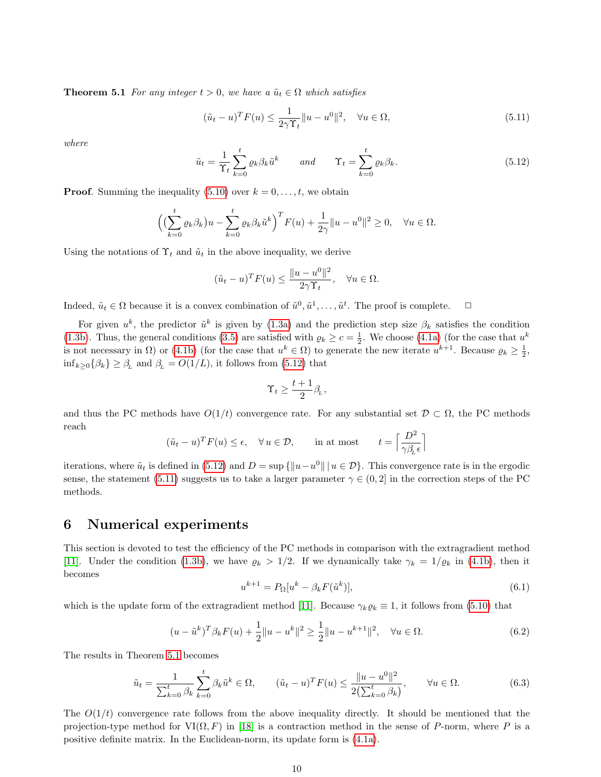**Theorem 5.1** For any integer  $t > 0$ , we have a  $\tilde{u}_t \in \Omega$  which satisfies

<span id="page-9-2"></span>
$$
(\tilde{u}_t - u)^T F(u) \le \frac{1}{2\gamma \Upsilon_t} \|u - u^0\|^2, \quad \forall u \in \Omega,
$$
\n(5.11)

where

<span id="page-9-1"></span>
$$
\tilde{u}_t = \frac{1}{\Upsilon_t} \sum_{k=0}^t \varrho_k \beta_k \tilde{u}^k \qquad and \qquad \Upsilon_t = \sum_{k=0}^t \varrho_k \beta_k. \tag{5.12}
$$

**Proof.** Summing the inequality  $(5.10)$  over  $k = 0, \ldots, t$ , we obtain

$$
\left(\left(\sum_{k=0}^t \varrho_k \beta_k\right)u - \sum_{k=0}^t \varrho_k \beta_k \tilde{u}^k\right)^T F(u) + \frac{1}{2\gamma} \|u - u^0\|^2 \ge 0, \quad \forall u \in \Omega.
$$

Using the notations of  $\Upsilon_t$  and  $\tilde{u}_t$  in the above inequality, we derive

$$
(\tilde{u}_t - u)^T F(u) \le \frac{\|u - u^0\|^2}{2\gamma \Upsilon_t}, \quad \forall u \in \Omega.
$$

Indeed,  $\tilde{u}_t \in \Omega$  because it is a convex combination of  $\tilde{u}^0, \tilde{u}^1, \ldots, \tilde{u}^t$ . The proof is complete.  $\Box$ 

For given  $u^k$ , the predictor  $\tilde{u}^k$  is given by [\(1.3a\)](#page-1-0) and the prediction step size  $\beta_k$  satisfies the condition [\(1.3b\)](#page-1-4). Thus, the general conditions [\(3.5\)](#page-4-0) are satisfied with  $\varrho_k \ge c = \frac{1}{2}$ . We choose [\(4.1a\)](#page-5-1) (for the case that  $u^k$ is not necessary in  $\Omega$ ) or [\(4.1b\)](#page-5-2) (for the case that  $u^k \in \Omega$ ) to generate the new iterate  $u^{k+1}$ . Because  $\varrho_k \geq \frac{1}{2}$ ,  $\inf_{k\geq 0} {\beta_k} \geq \beta_L$  and  $\beta_L = O(1/L)$ , it follows from [\(5.12\)](#page-9-1) that

$$
\Upsilon_t \geq \frac{t+1}{2} \beta_L,
$$

and thus the PC methods have  $O(1/t)$  convergence rate. For any substantial set  $\mathcal{D} \subset \Omega$ , the PC methods reach

$$
(\tilde{u}_t - u)^T F(u) \le \epsilon
$$
,  $\forall u \in \mathcal{D}$ , in at most  $t = \left\lceil \frac{D^2}{\gamma \beta_L \epsilon} \right\rceil$ 

iterations, where  $\tilde{u}_t$  is defined in [\(5.12\)](#page-9-1) and  $D = \sup \{ ||u - u^0|| \mid u \in \mathcal{D} \}$ . This convergence rate is in the ergodic sense, the statement [\(5.11\)](#page-9-2) suggests us to take a larger parameter  $\gamma \in (0, 2]$  in the correction steps of the PC methods.

### <span id="page-9-0"></span>6 Numerical experiments

This section is devoted to test the efficiency of the PC methods in comparison with the extragradient method [\[11\]](#page-13-0). Under the condition [\(1.3b\)](#page-1-4), we have  $\varrho_k > 1/2$ . If we dynamically take  $\gamma_k = 1/\varrho_k$  in [\(4.1b\)](#page-5-2), then it becomes

<span id="page-9-3"></span>
$$
u^{k+1} = P_{\Omega}[u^k - \beta_k F(\tilde{u}^k)],\tag{6.1}
$$

which is the update form of the extragradient method [\[11\]](#page-13-0). Because  $\gamma_k \varrho_k \equiv 1$ , it follows from [\(5.10\)](#page-8-4) that

$$
(u - \tilde{u}^k)^T \beta_k F(u) + \frac{1}{2} \|u - u^k\|^2 \ge \frac{1}{2} \|u - u^{k+1}\|^2, \quad \forall u \in \Omega.
$$
 (6.2)

The results in Theorem [5.1](#page-8-5) becomes

$$
\tilde{u}_t = \frac{1}{\sum_{k=0}^t \beta_k} \sum_{k=0}^t \beta_k \tilde{u}^k \in \Omega, \qquad (\tilde{u}_t - u)^T F(u) \le \frac{\|u - u^0\|^2}{2(\sum_{k=0}^t \beta_k)}, \qquad \forall u \in \Omega. \tag{6.3}
$$

The  $O(1/t)$  convergence rate follows from the above inequality directly. It should be mentioned that the projection-type method for  $VI(\Omega, F)$  in [\[18\]](#page-13-13) is a contraction method in the sense of P-norm, where P is a positive definite matrix. In the Euclidean-norm, its update form is [\(4.1a\)](#page-5-1).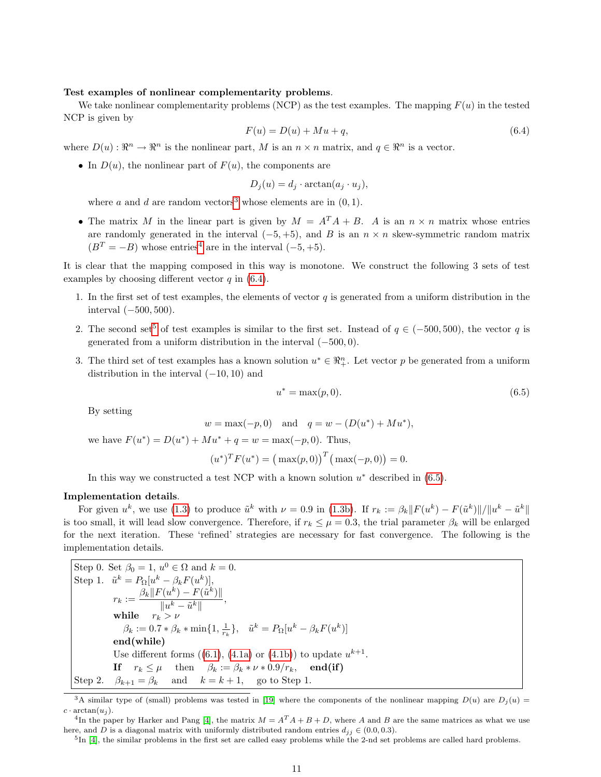#### Test examples of nonlinear complementarity problems.

We take nonlinear complementarity problems (NCP) as the test examples. The mapping  $F(u)$  in the tested NCP is given by

<span id="page-10-2"></span>
$$
F(u) = D(u) + Mu + q,\tag{6.4}
$$

where  $D(u): \mathbb{R}^n \to \mathbb{R}^n$  is the nonlinear part, M is an  $n \times n$  matrix, and  $q \in \mathbb{R}^n$  is a vector.

• In  $D(u)$ , the nonlinear part of  $F(u)$ , the components are

$$
D_j(u) = d_j \cdot \arctan(a_j \cdot u_j),
$$

where a and d are random vectors<sup>[3](#page-10-0)</sup> whose elements are in  $(0, 1)$ .

• The matrix M in the linear part is given by  $M = A^T A + B$ . A is an  $n \times n$  matrix whose entries are randomly generated in the interval  $(-5, +5)$ , and B is an  $n \times n$  skew-symmetric random matrix  $(B<sup>T</sup> = -B)$  whose entries<sup>[4](#page-10-1)</sup> are in the interval  $(-5, +5)$ .

It is clear that the mapping composed in this way is monotone. We construct the following 3 sets of test examples by choosing different vector  $q$  in [\(6.4\)](#page-10-2).

- 1. In the first set of test examples, the elements of vector  $q$  is generated from a uniform distribution in the interval  $(-500, 500)$ .
- 2. The second set<sup>[5](#page-10-3)</sup> of test examples is similar to the first set. Instead of  $q \in (-500, 500)$ , the vector q is generated from a uniform distribution in the interval (−500, 0).
- 3. The third set of test examples has a known solution  $u^* \in \mathbb{R}_+^n$ . Let vector p be generated from a uniform distribution in the interval  $(-10, 10)$  and

<span id="page-10-4"></span>
$$
u^* = \max(p, 0). \tag{6.5}
$$

By setting

$$
w = \max(-p, 0)
$$
 and  $q = w - (D(u^*) + Mu^*),$ 

we have  $F(u^*) = D(u^*) + M u^* + q = w = \max(-p, 0)$ . Thus,

$$
(u^*)^T F(u^*) = (\max(p, 0))^T (\max(-p, 0)) = 0.
$$

In this way we constructed a test NCP with a known solution  $u^*$  described in  $(6.5)$ .

#### Implementation details.

For given  $u^k$ , we use [\(1.3\)](#page-0-1) to produce  $\tilde{u}^k$  with  $\nu = 0.9$  in [\(1.3b\)](#page-1-4). If  $r_k := \beta_k ||F(u^k) - F(\tilde{u}^k)||/||u^k - \tilde{u}^k||$ is too small, it will lead slow convergence. Therefore, if  $r_k \leq \mu = 0.3$ , the trial parameter  $\beta_k$  will be enlarged for the next iteration. These 'refined' strategies are necessary for fast convergence. The following is the implementation details.

Step 0. Set  $\beta_0 = 1$ ,  $u^0 \in \Omega$  and  $k = 0$ . Step 1.  $\tilde{u}^k = P_{\Omega}[u^k - \beta_k F(u^k)],$  $r_k := \frac{\beta_k \| F(u^k) - F(\tilde{u}^k) \|}{\| \| k - \tilde{x}^k \|}$  $\frac{\left(\frac{\alpha}{\mu}\right)^{\frac{1}{2}}\left(\frac{\alpha}{\mu}\right)}{\|u^k-\tilde{u}^k\|},$ while  $r_k \to \nu$  $\beta_k := 0.7 * \beta_k * \min\{1, \frac{1}{r_k}\}, \quad \tilde{u}^k = P_{\Omega}[u^k - \beta_k F(u^k)]$ end(while) Use different forms  $((6.1), (4.1a)$  $((6.1), (4.1a)$  $((6.1), (4.1a)$  $((6.1), (4.1a)$  or  $(4.1b))$  $(4.1b))$  to update  $u^{k+1}$ . If  $r_k \leq \mu$  then  $\beta_k := \beta_k * \nu * 0.9/r_k$ , end(if) Step 2.  $\beta_{k+1} = \beta_k$  and  $k = k+1$ , go to Step 1.

<span id="page-10-0"></span><sup>&</sup>lt;sup>3</sup>A similar type of (small) problems was tested in [\[19\]](#page-13-17) where the components of the nonlinear mapping  $D(u)$  are  $D_i(u)$  =  $c \cdot \arctan(u_i)$ .

<span id="page-10-1"></span><sup>&</sup>lt;sup>4</sup>In the paper by Harker and Pang [\[4\]](#page-12-3), the matrix  $M = A^T A + B + D$ , where A and B are the same matrices as what we use here, and D is a diagonal matrix with uniformly distributed random entries  $d_{jj} \in (0.0, 0.3)$ .

<span id="page-10-3"></span> $5$ In [\[4\]](#page-12-3), the similar problems in the first set are called easy problems while the 2-nd set problems are called hard problems.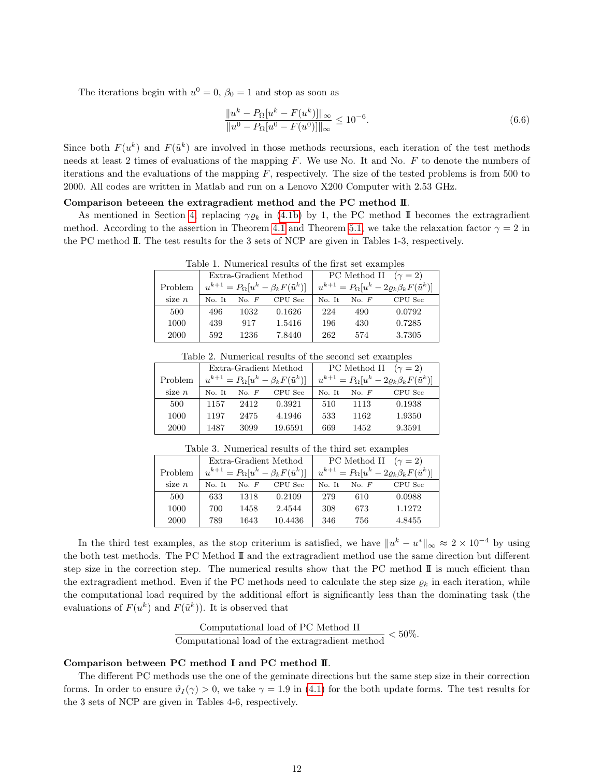The iterations begin with  $u^0 = 0$ ,  $\beta_0 = 1$  and stop as soon as

$$
\frac{\|u^k - P_{\Omega}[u^k - F(u^k)]\|_{\infty}}{\|u^0 - P_{\Omega}[u^0 - F(u^0)]\|_{\infty}} \le 10^{-6}.
$$
\n(6.6)

Since both  $F(u^k)$  and  $F(\tilde{u}^k)$  are involved in those methods recursions, each iteration of the test methods needs at least 2 times of evaluations of the mapping  $F$ . We use No. It and No.  $F$  to denote the numbers of iterations and the evaluations of the mapping  $F$ , respectively. The size of the tested problems is from 500 to 2000. All codes are written in Matlab and run on a Lenovo X200 Computer with 2.53 GHz.

#### Comparison beteeen the extragradient method and the PC method II.

As mentioned in Section [4,](#page-5-0) replacing  $\gamma \varrho_k$  in [\(4.1b\)](#page-5-2) by 1, the PC method II becomes the extragradient method. According to the assertion in Theorem [4.1](#page-5-6) and Theorem [5.1,](#page-8-5) we take the relaxation factor  $\gamma = 2$  in the PC method II. The test results for the 3 sets of NCP are given in Tables 1-3, respectively.

|          |        |       | Extra-Gradient Method                                | PC Method II $(\gamma = 2)$ |       |                                                              |
|----------|--------|-------|------------------------------------------------------|-----------------------------|-------|--------------------------------------------------------------|
| Problem  |        |       | $u^{k+1} = P_{\Omega}[u^k - \beta_k F(\tilde{u}^k)]$ |                             |       | $u^{k+1} = P_{\Omega}[u^k - 2\rho_k \beta_k F(\tilde{u}^k)]$ |
| size $n$ | No. It | No. F | CPU Sec                                              | No. It                      | No. F | CPU Sec                                                      |
| 500      | 496    | 1032  | 0.1626                                               | 224                         | 490   | 0.0792                                                       |
| 1000     | 439    | 917   | 1.5416                                               | 196                         | 430   | 0.7285                                                       |
| 2000     | 592    | 1236  | 7.8440                                               | 262                         | 574   | 3.7305                                                       |

Table 1. Numerical results of the first set examples

| Table 2. Numerical results of the second set examples |        |       |                                                      |                             |       |                                                                 |  |  |
|-------------------------------------------------------|--------|-------|------------------------------------------------------|-----------------------------|-------|-----------------------------------------------------------------|--|--|
|                                                       |        |       | Extra-Gradient Method                                | PC Method II $(\gamma = 2)$ |       |                                                                 |  |  |
| Problem                                               |        |       | $u^{k+1} = P_{\Omega}[u^k - \beta_k F(\tilde{u}^k)]$ |                             |       | $u^{k+1} = P_{\Omega}[u^k - 2\varrho_k \beta_k F(\tilde{u}^k)]$ |  |  |
| size $n$                                              | No. It | No. F | CPU Sec                                              | No. It                      | No. F | CPU Sec                                                         |  |  |
| 500                                                   | 1157   | 2412  | 0.3921                                               | 510                         | 1113  | 0.1938                                                          |  |  |
| 1000                                                  | 1197   | 2475  | 4.1946                                               | 533                         | 1162  | 1.9350                                                          |  |  |
| 2000                                                  | 1487   | 3099  | 19.6591                                              | 669                         | 1452  | 9.3591                                                          |  |  |

Table 3. Numerical results of the third set examples

|          |                                                      |       | Extra-Gradient Method | PC Method II $(\gamma = 2)$                                     |         |         |
|----------|------------------------------------------------------|-------|-----------------------|-----------------------------------------------------------------|---------|---------|
| Problem  | $u^{k+1} = P_{\Omega}[u^k - \beta_k F(\tilde{u}^k)]$ |       |                       | $u^{k+1} = P_{\Omega}[u^k - 2\varrho_k \beta_k F(\tilde{u}^k)]$ |         |         |
| size $n$ | No. It                                               | No. F | CPU Sec               | No. It                                                          | No. $F$ | CPU Sec |
| 500      | 633                                                  | 1318  | 0.2109                | 279                                                             | 610     | 0.0988  |
| 1000     | 700                                                  | 1458  | 2.4544                | 308                                                             | 673     | 1.1272  |
| 2000     | 789                                                  | 1643  | 10.4436               | 346                                                             | 756     | 4.8455  |

In the third test examples, as the stop criterium is satisfied, we have  $||u^k - u^*||_{\infty} \approx 2 \times 10^{-4}$  by using the both test methods. The PC Method II and the extragradient method use the same direction but different step size in the correction step. The numerical results show that the PC method  $\mathbb{I}$  is much efficient than the extragradient method. Even if the PC methods need to calculate the step size  $\rho_k$  in each iteration, while the computational load required by the additional effort is significantly less than the dominating task (the evaluations of  $F(u^k)$  and  $F(\tilde{u}^k)$ . It is observed that

Computational load of PC Method II<br>Computational load of the extragradient method < 50%.

#### Comparison between PC method I and PC method II.

The different PC methods use the one of the geminate directions but the same step size in their correction forms. In order to ensure  $\vartheta_I(\gamma) > 0$ , we take  $\gamma = 1.9$  in [\(4.1\)](#page-5-5) for the both update forms. The test results for the 3 sets of NCP are given in Tables 4-6, respectively.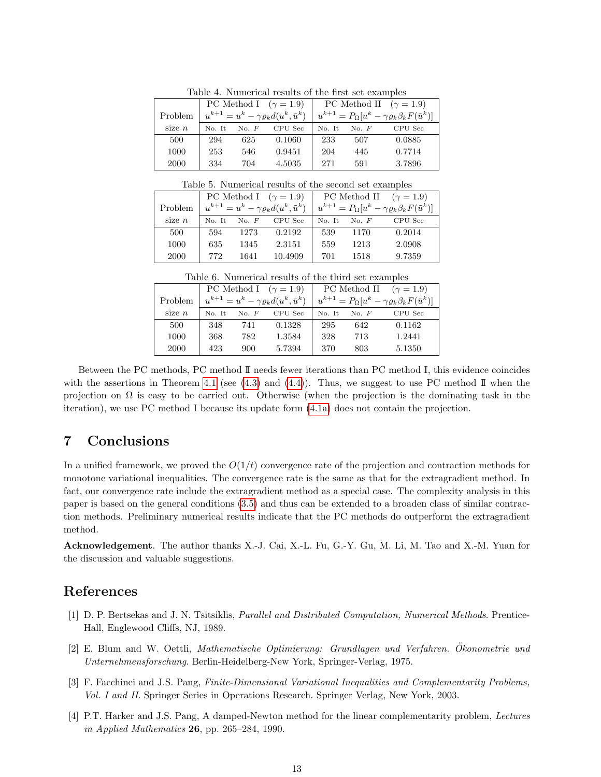| Iterate In Indian County Iterate and the state that the state of the state of the |        |         |                                                        |                               |         |                                                                       |  |  |
|-----------------------------------------------------------------------------------|--------|---------|--------------------------------------------------------|-------------------------------|---------|-----------------------------------------------------------------------|--|--|
|                                                                                   |        |         | PC Method I $(\gamma = 1.9)$                           | PC Method II $(\gamma = 1.9)$ |         |                                                                       |  |  |
| Problem                                                                           |        |         | $u^{k+1} = u^k - \gamma \varrho_k d(u^k, \tilde{u}^k)$ |                               |         | $u^{k+1} = P_{\Omega}[u^k - \gamma \varrho_k \beta_k F(\tilde{u}^k)]$ |  |  |
| size $n$                                                                          | No. It | No. $F$ | CPU Sec                                                | No. It                        | No. $F$ | CPU Sec                                                               |  |  |
| 500                                                                               | 294    | 625     | 0.1060                                                 | 233                           | 507     | 0.0885                                                                |  |  |
| 1000                                                                              | 253    | 546     | 0.9451                                                 | 204                           | 445     | 0.7714                                                                |  |  |
| 2000                                                                              | 334    | 704     | 4.5035                                                 | 271                           | 591     | 3.7896                                                                |  |  |

Table 4. Numerical results of the first set examples

Table 5. Numerical results of the second set examples

|          |        |         | PC Method I $(\gamma = 1.9)$                           | PC Method II $(\gamma = 1.9)$ |         |                                                                       |
|----------|--------|---------|--------------------------------------------------------|-------------------------------|---------|-----------------------------------------------------------------------|
| Problem  |        |         | $u^{k+1} = u^k - \gamma \varrho_k d(u^k, \tilde{u}^k)$ |                               |         | $u^{k+1} = P_{\Omega}[u^k - \gamma \varrho_k \beta_k F(\tilde{u}^k)]$ |
| size $n$ | No. It | No. $F$ | CPU Sec                                                | No. It                        | No. $F$ | CPU Sec                                                               |
| 500      | 594    | 1273    | 0.2192                                                 | 539                           | 1170    | 0.2014                                                                |
| 1000     | 635    | 1345    | 2.3151                                                 | 559                           | 1213    | 2.0908                                                                |
| 2000     | 772    | 1641    | 10.4909                                                | 701                           | 1518    | 9.7359                                                                |

Table 6. Numerical results of the third set examples

|          |        |       | PC Method I $(\gamma = 1.9)$                           | PC Method II<br>$(\gamma = 1.9)$ |         |                                                                       |
|----------|--------|-------|--------------------------------------------------------|----------------------------------|---------|-----------------------------------------------------------------------|
| Problem  |        |       | $u^{k+1} = u^k - \gamma \varrho_k d(u^k, \tilde{u}^k)$ |                                  |         | $u^{k+1} = P_{\Omega}[u^k - \gamma \varrho_k \beta_k F(\tilde{u}^k)]$ |
| size $n$ | No. It | No. F | CPU Sec                                                | No. It                           | No. $F$ | CPU Sec                                                               |
| 500      | 348    | 741   | 0.1328                                                 | 295                              | 642     | 0.1162                                                                |
| 1000     | 368    | 782   | 1.3584                                                 | 328                              | 713     | 1.2441                                                                |
| 2000     | 423    | 900   | 5.7394                                                 | 370                              | 803     | 5.1350                                                                |

Between the PC methods, PC method II needs fewer iterations than PC method I, this evidence coincides with the assertions in Theorem [4.1](#page-5-6) (see  $(4.3)$  and  $(4.4)$ ). Thus, we suggest to use PC method II when the projection on  $\Omega$  is easy to be carried out. Otherwise (when the projection is the dominating task in the iteration), we use PC method I because its update form [\(4.1a\)](#page-5-1) does not contain the projection.

# 7 Conclusions

In a unified framework, we proved the  $O(1/t)$  convergence rate of the projection and contraction methods for monotone variational inequalities. The convergence rate is the same as that for the extragradient method. In fact, our convergence rate include the extragradient method as a special case. The complexity analysis in this paper is based on the general conditions [\(3.5\)](#page-4-0) and thus can be extended to a broaden class of similar contraction methods. Preliminary numerical results indicate that the PC methods do outperform the extragradient method.

Acknowledgement. The author thanks X.-J. Cai, X.-L. Fu, G.-Y. Gu, M. Li, M. Tao and X.-M. Yuan for the discussion and valuable suggestions.

# References

- <span id="page-12-0"></span>[1] D. P. Bertsekas and J. N. Tsitsiklis, Parallel and Distributed Computation, Numerical Methods. Prentice-Hall, Englewood Cliffs, NJ, 1989.
- <span id="page-12-2"></span>[2] E. Blum and W. Oettli, Mathematische Optimierung: Grundlagen und Verfahren. Okonometrie und ¨ Unternehmensforschung. Berlin-Heidelberg-New York, Springer-Verlag, 1975.
- <span id="page-12-1"></span>[3] F. Facchinei and J.S. Pang, Finite-Dimensional Variational Inequalities and Complementarity Problems, Vol. I and II. Springer Series in Operations Research. Springer Verlag, New York, 2003.
- <span id="page-12-3"></span>[4] P.T. Harker and J.S. Pang, A damped-Newton method for the linear complementarity problem, Lectures in Applied Mathematics 26, pp. 265–284, 1990.